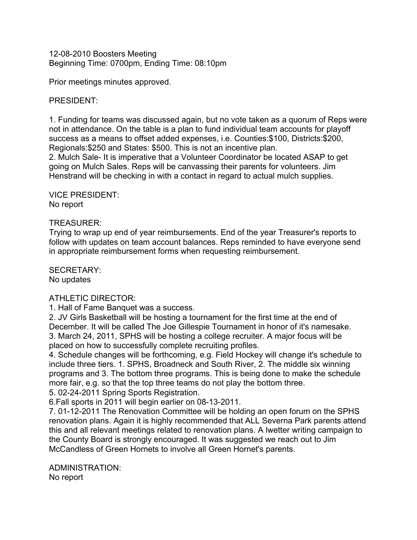12-08-2010 Boosters Meeting Beginning Time: 0700pm, Ending Time: 08:10pm

Prior meetings minutes approved.

## PRESIDENT:

1. Funding for teams was discussed again, but no vote taken as a quorum of Reps were not in attendance. On the table is a plan to fund individual team accounts for playoff success as a means to offset added expenses, i.e. Counties:\$100, Districts:\$200, Regionals:\$250 and States: \$500. This is not an incentive plan.

2. Mulch Sale- It is imperative that a Volunteer Coordinator be located ASAP to get going on Mulch Sales. Reps will be canvassing their parents for volunteers. Jim Henstrand will be checking in with a contact in regard to actual mulch supplies.

VICE PRESIDENT: No report

## TREASURER:

Trying to wrap up end of year reimbursements. End of the year Treasurer's reports to follow with updates on team account balances. Reps reminded to have everyone send in appropriate reimbursement forms when requesting reimbursement.

SECRETARY: No updates

## ATHLETIC DIRECTOR:

1. Hall of Fame Banquet was a success.

2. JV Girls Basketball will be hosting a tournament for the first time at the end of December. It will be called The Joe Gillespie Tournament in honor of it's namesake. 3. March 24, 2011, SPHS will be hosting a college recruiter. A major focus will be placed on how to successfully complete recruiting profiles.

4. Schedule changes will be forthcoming, e.g. Field Hockey will change it's schedule to include three tiers. 1. SPHS, Broadneck and South River, 2. The middle six winning programs and 3. The bottom three programs. This is being done to make the schedule more fair, e.g. so that the top three teams do not play the bottom three. 5. 02-24-2011 Spring Sports Registration.

6.Fall sports in 2011 will begin earlier on 08-13-2011.

7. 01-12-2011 The Renovation Committee will be holding an open forum on the SPHS renovation plans. Again it is highly recommended that ALL Severna Park parents attend this and all relevant meetings related to renovation plans. A lwetter writing campaign to the County Board is strongly encouraged. It was suggested we reach out to Jim McCandless of Green Hornets to involve all Green Hornet's parents.

ADMINISTRATION: No report